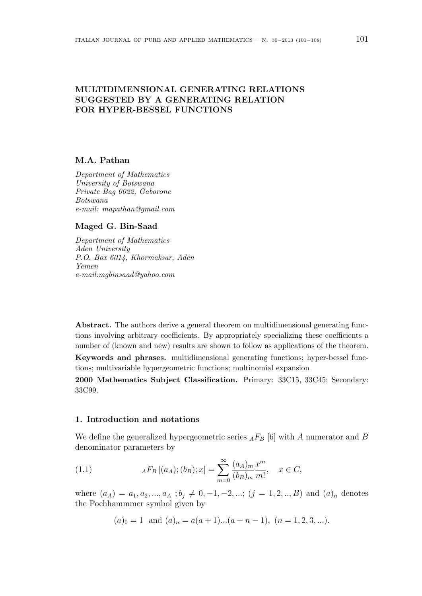# **MULTIDIMENSIONAL GENERATING RELATIONS SUGGESTED BY A GENERATING RELATION FOR HYPER-BESSEL FUNCTIONS**

### **M.A. Pathan**

*Department of Mathematics University of Botswana Private Bag 0022, Gaborone Botswana e-mail: mapathan@gmail.com*

### **Maged G. Bin-Saad**

*Department of Mathematics Aden University P.O. Box 6014, Khormaksar, Aden Yemen e-mail:mgbinsaad@yahoo.com*

**Abstract.** The authors derive a general theorem on multidimensional generating functions involving arbitrary coefficients. By appropriately specializing these coefficients a number of (known and new) results are shown to follow as applications of the theorem.

**Keywords and phrases.** multidimensional generating functions; hyper-bessel functions; multivariable hypergeometric functions; multinomial expansion

**2000 Mathematics Subject Classification.** Primary: 33C15, 33C45; Secondary: 33C99.

# **1. Introduction and notations**

We define the generalized hypergeometric series  $_{A}F_{B}$  [6] with *A* numerator and *B* denominator parameters by

(1.1) 
$$
{}_A F_B [(a_A); (b_B); x] = \sum_{m=0}^{\infty} \frac{(a_A)_m}{(b_B)_m} \frac{x^m}{m!}, \quad x \in C,
$$

where  $(a_A) = a_1, a_2, ..., a_A$ ;  $b_j \neq 0, -1, -2, ...;$ ;  $(j = 1, 2, ..., B)$  and  $(a)_n$  denotes the Pochhammmer symbol given by

$$
(a)_0 = 1
$$
 and  $(a)_n = a(a+1)...(a+n-1), (n = 1, 2, 3, ...).$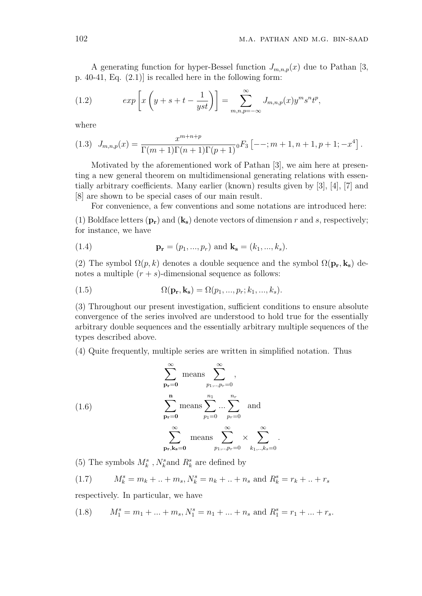A generating function for hyper-Bessel function  $J_{m,n,p}(x)$  due to Pathan [3, p. 40-41, Eq. (2.1)] is recalled here in the following form:

(1.2) 
$$
exp\left[x\left(y+s+t-\frac{1}{yst}\right)\right]=\sum_{m,n,p=-\infty}^{\infty}J_{m,n,p}(x)y^ms^nt^p,
$$

where

$$
(1.3) \quad J_{m,n,p}(x) = \frac{x^{m+n+p}}{\Gamma(m+1)\Gamma(n+1)\Gamma(p+1)} \cdot F_3 \left[ -\frac{1}{m+1}, n+1, p+1; -x^4 \right].
$$

Motivated by the aforementioned work of Pathan [3], we aim here at presenting a new general theorem on multidimensional generating relations with essentially arbitrary coefficients. Many earlier (known) results given by [3], [4], [7] and [8] are shown to be special cases of our main result.

For convenience, a few conventions and some notations are introduced here:

(1) Boldface letters  $(\mathbf{p_r})$  and  $(\mathbf{k_s})$  denote vectors of dimension r and s, respectively; for instance, we have

(1.4) 
$$
\mathbf{p_r} = (p_1, ..., p_r) \text{ and } \mathbf{k_s} = (k_1, ..., k_s).
$$

(2) The symbol  $\Omega(p, k)$  denotes a double sequence and the symbol  $\Omega(\mathbf{p_r}, \mathbf{k_s})$  denotes a multiple  $(r + s)$ -dimensional sequence as follows:

(1.5) 
$$
\Omega(\mathbf{p_r}, \mathbf{k_s}) = \Omega(p_1, ..., p_r; k_1, ..., k_s).
$$

(3) Throughout our present investigation, sufficient conditions to ensure absolute convergence of the series involved are understood to hold true for the essentially arbitrary double sequences and the essentially arbitrary multiple sequences of the types described above.

(4) Quite frequently, multiple series are written in simplified notation. Thus

(1.6) 
$$
\sum_{\mathbf{p_r=0}}^{\infty} \text{means } \sum_{p_1,\dots,p_r=0}^{\infty},
$$

$$
\sum_{\mathbf{p_r=0}}^{\mathbf{n}} \text{means } \sum_{p_1=0}^{n_1} \dots \sum_{p_r=0}^{n_r} \text{ and}
$$

$$
\sum_{\mathbf{p_r,k_s=0}}^{\infty} \text{means } \sum_{p_1,\dots,p_r=0}^{\infty} \times \sum_{k_1,\dots,k_s=0}^{\infty}.
$$

(5) The symbols  $M_k^s$  ,  $N_k^s$  and  $R_k^s$  are defined by

(1.7)  $M_k^s = m_k + ... + m_s, N_k^s = n_k + ... + n_s$  and  $R_k^s = r_k + ... + r_s$ 

respectively. In particular, we have

(1.8) 
$$
M_1^s = m_1 + \dots + m_s, N_1^s = n_1 + \dots + n_s
$$
 and  $R_1^s = r_1 + \dots + r_s$ .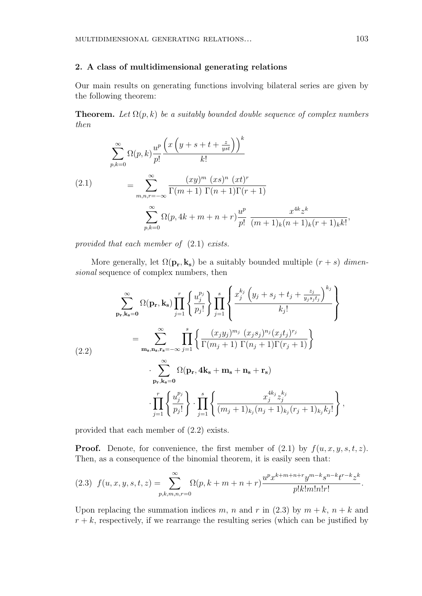## **2. A class of multidimensional generating relations**

Our main results on generating functions involving bilateral series are given by the following theorem:

**Theorem.** Let  $\Omega(p,k)$  be a suitably bounded double sequence of complex numbers *then*

$$
\sum_{p,k=0}^{\infty} \Omega(p,k) \frac{u^p}{p!} \frac{\left(x\left(y+s+t+\frac{z}{yst}\right)\right)^k}{k!}
$$
\n
$$
(2.1) \qquad = \sum_{m,n,r=-\infty}^{\infty} \frac{(xy)^m (xs)^n (xt)^r}{\Gamma(m+1)\Gamma(n+1)\Gamma(r+1)}
$$
\n
$$
\sum_{p,k=0}^{\infty} \Omega(p,4k+m+n+r) \frac{u^p}{p!} \frac{x^{4k}z^k}{(m+1)_k(n+1)_k(r+1)_k k!},
$$

*provided that each member of* (2*.*1) *exists.*

More generally, let  $\Omega(\mathbf{p_r}, \mathbf{k_s})$  be a suitably bounded multiple  $(r + s)$  *dimensional* sequence of complex numbers, then

$$
\sum_{\mathbf{p_r},\mathbf{k_s=0}}^{\infty} \Omega(\mathbf{p_r},\mathbf{k_s}) \prod_{j=1}^r \left\{ \frac{u_j^{p_j}}{p_j!} \right\} \prod_{j=1}^s \left\{ \frac{x_j^{k_j} (y_j + s_j + t_j + \frac{z_j}{y_j s_j t_j})^{k_j}}{k_j!} \right\}
$$
\n
$$
= \sum_{\mathbf{m_s},\mathbf{n_s},\mathbf{r_s}=-\infty}^{\infty} \prod_{j=1}^s \left\{ \frac{(x_j y_j)^{m_j} (x_j s_j)^{n_j} (x_j t_j)^{r_j}}{\Gamma(m_j+1) \Gamma(n_j+1) \Gamma(r_j+1)} \right\}
$$
\n
$$
\cdot \sum_{\mathbf{p_r},\mathbf{k_s=0}}^{\infty} \Omega(\mathbf{p_r}, 4\mathbf{k_s} + \mathbf{m_s} + \mathbf{n_s} + \mathbf{r_s})
$$
\n
$$
\cdot \prod_{j=1}^r \left\{ \frac{u_j^{p_j}}{p_j!} \right\} \cdot \prod_{j=1}^s \left\{ \frac{x_j^{4k_j} z_j^{k_j}}{(m_j+1)_{k_j} (n_j+1)_{k_j} (r_j+1)_{k_j} k_j!} \right\},
$$

provided that each member of (2*.*2) exists.

**Proof.** Denote, for convenience, the first member of  $(2.1)$  by  $f(u, x, y, s, t, z)$ . Then, as a consequence of the binomial theorem, it is easily seen that:

$$
(2.3) \ f(u,x,y,s,t,z) = \sum_{p,k,m,n,r=0}^{\infty} \Omega(p,k+m+n+r) \frac{u^p x^{k+m+n+r} y^{m-k} s^{n-k} t^{r-k} z^k}{p! k! m! n! r!}.
$$

Upon replacing the summation indices *m*, *n* and *r* in (2.3) by  $m + k$ ,  $n + k$  and  $r + k$ , respectively, if we rearrange the resulting series (which can be justified by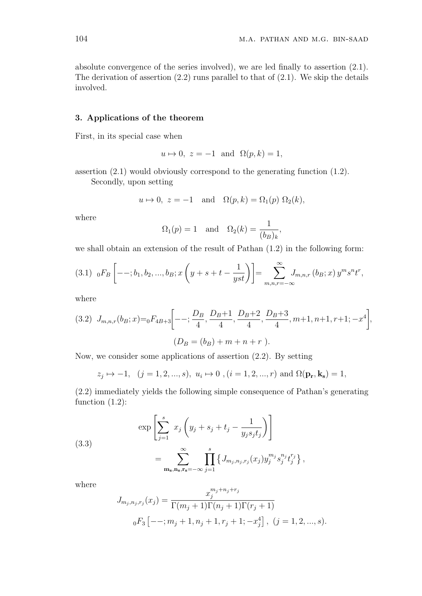absolute convergence of the series involved), we are led finally to assertion (2.1). The derivation of assertion  $(2.2)$  runs parallel to that of  $(2.1)$ . We skip the details involved.

## **3. Applications of the theorem**

First, in its special case when

$$
u \mapsto 0
$$
,  $z = -1$  and  $\Omega(p, k) = 1$ ,

assertion (2.1) would obviously correspond to the generating function (1.2).

Secondly, upon setting

$$
u \mapsto 0
$$
,  $z = -1$  and  $\Omega(p, k) = \Omega_1(p) \Omega_2(k)$ ,

where

$$
\Omega_1(p) = 1 \quad \text{and} \quad \Omega_2(k) = \frac{1}{(b_B)_k},
$$

we shall obtain an extension of the result of Pathan (1.2) in the following form:

$$
(3.1) \t0FB \left[ - - ; b1, b2, ..., bB ; x \left( y + s + t - \frac{1}{yst} \right) \right] = \sum_{m,n,r=-\infty}^{\infty} J_{m,n,r} (bB; x) ym sn tr,
$$

where

$$
(3.2) \ J_{m,n,r}(b_B; x) = {}_0F_{4B+3}\left[ -\frac{D_B}{4}, \frac{D_B+1}{4}, \frac{D_B+2}{4}, \frac{D_B+3}{4}, m+1, n+1, r+1; -x^4 \right],
$$

$$
(D_B = (b_B) + m + n + r).
$$

Now, we consider some applications of assertion (2.2). By setting

$$
z_j \mapsto -1
$$
,  $(j = 1, 2, ..., s)$ ,  $u_i \mapsto 0$ ,  $(i = 1, 2, ..., r)$  and  $\Omega(\mathbf{p_r}, \mathbf{k_s}) = 1$ ,

(2.2) immediately yields the following simple consequence of Pathan's generating function (1.2):

(3.3)  

$$
\exp\left[\sum_{j=1}^{s} x_j \left(y_j + s_j + t_j - \frac{1}{y_j s_j t_j}\right)\right]
$$

$$
= \sum_{\mathbf{m_s}, \mathbf{n_s}, \mathbf{r_s} = -\infty}^{\infty} \prod_{j=1}^{s} \left\{J_{m_j, n_j, r_j}(x_j) y_j^{m_j} s_j^{n_j} t_j^{r_j}\right\},
$$

where

$$
J_{m_j, n_j, r_j}(x_j) = \frac{x_j^{m_j + n_j + r_j}}{\Gamma(m_j + 1)\Gamma(n_j + 1)\Gamma(r_j + 1)}
$$
  
0F<sub>3</sub>  $[- -; m_j + 1, n_j + 1, r_j + 1; -x_j^4], (j = 1, 2, ..., s).$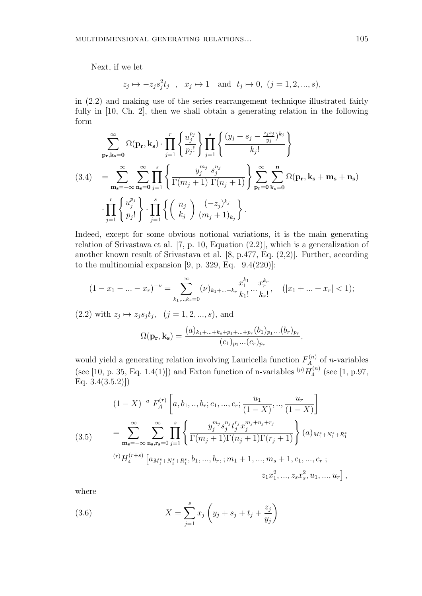Next, if we let

$$
z_j \mapsto -z_j s_j^2 t_j
$$
,  $x_j \mapsto 1$  and  $t_j \mapsto 0$ ,  $(j = 1, 2, ..., s)$ ,

in (2.2) and making use of the series rearrangement technique illustrated fairly fully in [10, Ch. 2], then we shall obtain a generating relation in the following form

$$
\sum_{\mathbf{p_r},\mathbf{k_s}=\mathbf{0}}^{\infty} \Omega(\mathbf{p_r},\mathbf{k_s}) \cdot \prod_{j=1}^r \left\{ \frac{u_j^{p_j}}{p_j!} \right\} \prod_{j=1}^s \left\{ \frac{(y_j + s_j - \frac{z_j s_j}{y_j})^{k_j}}{k_j!} \right\}
$$
\n
$$
(3.4) = \sum_{\mathbf{m_s}=-\infty}^{\infty} \sum_{\mathbf{n_s}=\mathbf{0}}^{\infty} \prod_{j=1}^s \left\{ \frac{y_j^{m_j} s_j^{n_j}}{\Gamma(m_j+1) \Gamma(n_j+1)} \right\} \sum_{\mathbf{p_r}=\mathbf{0}}^{\infty} \sum_{\mathbf{k_s}=\mathbf{0}}^{\mathbf{n}} \Omega(\mathbf{p_r},\mathbf{k_s}+\mathbf{m_s}+\mathbf{n_s})
$$
\n
$$
\cdot \prod_{j=1}^r \left\{ \frac{u_j^{p_j}}{p_j!} \right\} \cdot \prod_{j=1}^s \left\{ \left( \begin{array}{c} n_j \\ k_j \end{array} \right) \frac{(-z_j)^{k_j}}{(m_j+1)_{k_j}} \right\}.
$$

Indeed, except for some obvious notional variations, it is the main generating relation of Srivastava et al. [7, p. 10, Equation (2.2)], which is a generalization of another known result of Srivastava et al. [8, p.477, Eq. (2,2)]. Further, according to the multinomial expansion  $[9, p. 329, Eq. 9.4(220)]$ :

$$
(1 - x_1 - \dots - x_r)^{-\nu} = \sum_{k_1, \dots, k_r = 0}^{\infty} (\nu)_{k_1 + \dots + k_r} \frac{x_1^{k_1}}{k_1!} \dots \frac{x_r^{k_r}}{k_r!}, \quad (|x_1 + \dots + x_r| < 1);
$$

 $(2.2)$  with  $z_j \mapsto z_j s_j t_j$ ,  $(j = 1, 2, ..., s)$ , and

$$
\Omega(\mathbf{p_r}, \mathbf{k_s}) = \frac{(a)_{k_1 + \dots + k_s + p_1 + \dots + p_r} (b_1)_{p_1} \dots (b_r)_{p_r}}{(c_1)_{p_1} \dots (c_r)_{p_r}},
$$

would yield a generating relation involving Lauricella function  $F_A^{(n)}$  $\lambda_A^{(n)}$  of *n*-variables (see [10, p. 35, Eq. 1.4(1)]) and Exton function of n-variables  $(p)$   $H_4^{(n)}$  $_{4}^{\cdot(n)}$  (see [1, p.97, Eq.  $3.4(3.5.2)$ ]

(3.5)  
\n
$$
(1 - X)^{-a} F_A^{(r)} \left[ a, b_1, ..., b_r; c_1, ..., c_r; \frac{u_1}{(1 - X)}, ..., \frac{u_r}{(1 - X)} \right]
$$
\n
$$
= \sum_{\mathbf{m_s} = -\infty}^{\infty} \sum_{\mathbf{n_s}, \mathbf{r_s} = 0}^{\infty} \prod_{j=1}^{s} \left\{ \frac{y_j^{m_j} s_j^{n_j} t_j^{r_j} x_j^{m_j + n_j + r_j}}{\Gamma(m_j + 1) \Gamma(n_j + 1) \Gamma(r_j + 1)} \right\} (a)_{M_1^s + N_1^s + R_1^s}
$$
\n
$$
^{(r)} H_4^{(r+s)} \left[ a_{M_1^s + N_1^s + R_1^s}, b_1, ..., b_r; ; m_1 + 1, ..., m_s + 1, c_1, ..., c_r ;
$$
\n
$$
z_1 x_1^2, ..., z_s x_s^2, u_1, ..., u_r \right],
$$

where

(3.6) 
$$
X = \sum_{j=1}^{s} x_j \left( y_j + s_j + t_j + \frac{z_j}{y_j} \right)
$$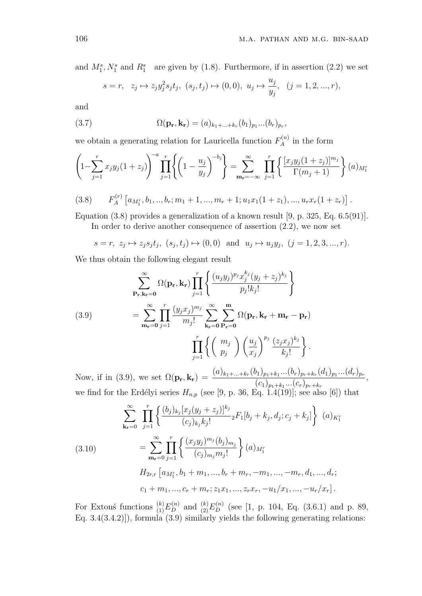and  $M_1^s, N_1^s$  and  $R_1^s$  are given by (1.8). Furthermore, if in assertion (2.2) we set

$$
s = r
$$
,  $z_j \mapsto z_j y_j^2 s_j t_j$ ,  $(s_j, t_j) \mapsto (0, 0)$ ,  $u_j \mapsto \frac{u_j}{y_j}$ ,  $(j = 1, 2, ..., r)$ ,

and

(3.7) 
$$
\Omega(\mathbf{p_r}, \mathbf{k_r}) = (a)_{k_1 + \ldots + k_r} (b_1)_{p_1} \ldots (b_r)_{p_r},
$$

we obtain a generating relation for Lauricella function  $F_A^{(n)}$  $A^{(n)}$  in the form

$$
\left(1 - \sum_{j=1}^{r} x_j y_j (1 + z_j)\right)^{-a} \prod_{j=1}^{r} \left\{ \left(1 - \frac{u_j}{y_j}\right)^{-b_j} \right\} = \sum_{m_r = -\infty}^{\infty} \prod_{j=1}^{r} \left\{ \frac{[x_j y_j (1 + z_j)]^{m_j}}{\Gamma(m_j + 1)} \right\} (a)_{M_1^r}
$$

$$
(3.8) \tF_A^{(r)}\left[a_{M_1^r}, b_1, ..., b_r; m_1+1, ..., m_r+1; u_1x_1(1+z_1), ..., u_rx_r(1+z_r)\right].
$$

Equation (3.8) provides a generalization of a known result [9, p. 325, Eq. 6.5(91)].

In order to derive another consequence of assertion (2.2), we now set

$$
s = r, z_j \mapsto z_j s_j t_j, (s_j, t_j) \mapsto (0, 0)
$$
 and  $u_j \mapsto u_j y_j, (j = 1, 2, 3, ..., r)$ .

We thus obtain the following elegant result

(3.9)  
\n
$$
\sum_{\mathbf{P_r},\mathbf{k_r=0}}^{\infty} \Omega(\mathbf{p_r}, \mathbf{k_r}) \prod_{j=1}^r \left\{ \frac{(u_j y_j)^{p_j} x_j^{k_j} (y_j + z_j)^{k_j}}{p_j! k_j!} \right\}
$$
\n
$$
= \sum_{\mathbf{m_r=0}}^{\infty} \prod_{j=1}^r \frac{(y_j x_j)^{m_j}}{m_j!} \sum_{\mathbf{k_r=0}}^{\infty} \sum_{\mathbf{P_r=0}}^{\mathbf{m}} \Omega(\mathbf{p_r}, \mathbf{k_r} + \mathbf{m_r} - \mathbf{p_r})
$$
\n
$$
\prod_{j=1}^r \left\{ \left( \begin{array}{c} m_j \\ p_j \end{array} \right) \left( \frac{u_j}{x_j} \right)^{p_j} \frac{(z_j x_j)^{k_j}}{k_j!} \right\}.
$$

Now, if in (3.9), we set  $\Omega(\mathbf{p_r}, \mathbf{k_r}) = \frac{(a)_{k_1+\ldots+k_r}(b_1)_{p_1+k_1} \ldots (b_r)_{p_r+k_r}(d_1)_{p_1} \ldots (d_r)_{p_r}}{(d_1)^2}$  $(c_1)_{p_1+k_1}...(c_r)_{p_r+k_r}$ *,* we find for the Erdélyi series  $H_{n,p}$  (see [9, p. 36, Eq. 1.4(19)]; see also [6]) that

$$
\sum_{\mathbf{k_r}=0}^{\infty} \prod_{j=1}^{r} \left\{ \frac{(b_j)_{k_j} [x_j(y_j+z_j)]^{k_j}}{(c_j)_{k_j} k_j!} {}_2F_1[b_j+k_j,d_j;c_j+k_j] \right\} (a)_{K_1^r}
$$
\n
$$
= \sum_{\mathbf{m_r}=0}^{\infty} \prod_{j=1}^{r} \left\{ \frac{(x_j y_j)^{m_j} (b_j)_{m_j}}{(c_j)_{m_j m_j!}} \right\} (a)_{M_1^r}
$$
\n
$$
H_{2r,r} [a_{M_1^r}, b_1+m_1, ..., b_r+m_r, -m_1, ..., -m_r, d_1, ..., d_r;
$$
\n
$$
c_1 + m_1, ..., c_r + m_r; z_1 x_1, ..., z_r x_r, -u_1/x_1, ..., -u_r/x_r].
$$

For Extons functions  $\binom{k}{1} E_D^{(n)}$  and  $\binom{k}{2} E_D^{(n)}$  (see [1, p. 104, Eq. (3.6.1) and p. 89, Eq.  $3.4(3.4.2)$ ], formula  $(3.9)$  similarly yields the following generating relations: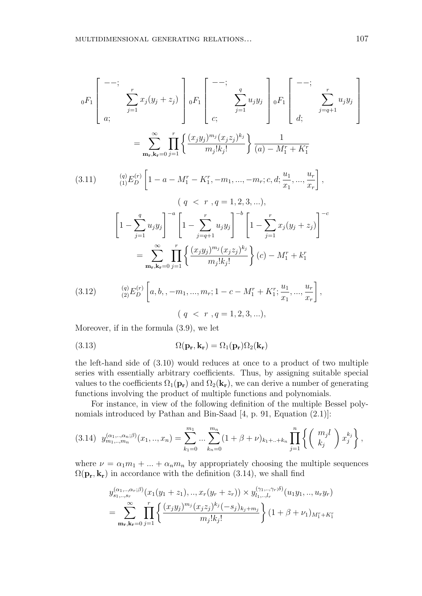$$
{}_{0}F_{1}\left[\begin{array}{c} --; \\ \\ x \\ x_{j} \end{array} \sum_{j=1}^{r} x_{j}(y_{j} + z_{j}) \right] {}_{0}F_{1}\left[\begin{array}{c} --; \\ \\ \\ x_{j} \end{array} \sum_{j=1}^{q} u_{j}y_{j} \right] {}_{0}F_{1}\left[\begin{array}{c} --; \\ \\ \\ x_{j} \end{array} \sum_{j=q+1}^{r} u_{j}y_{j} \right]
$$

$$
= \sum_{\mathbf{m_{r}, k_{r}}=0}^{\infty} \prod_{j=1}^{r} \left\{ \frac{(x_{j}y_{j})^{m_{j}}(x_{j}z_{j})^{k_{j}}}{m_{j}!k_{j}!} \right\} \frac{1}{(a) - M_{1}^{r} + K_{1}^{r}}
$$

$$
[2.11] \qquad \qquad (q) F^{(r)} \left[1 - \sum_{j=1}^{r} M_{j}^{r} - K_{j}^{r} \sum_{j=1}^{r} m_{j}x_{j} \right] \sum_{j=1}^{n} \frac{u_{1}}{m_{j}!} \frac{u_{1}}{m_{j}!} \right]
$$

$$
(3.11) \qquad \begin{aligned} \n\text{(9)} \quad & \begin{bmatrix} q \end{bmatrix} E_D^{(r)} \left[ 1 - a - M_1^r - K_1^r, -m_1, \dots, -m_r; c, d; \frac{u_1}{x_1}, \dots, \frac{u_r}{x_r} \right], \\ \n& \begin{bmatrix} \n\end{bmatrix} \n\left[ 1 - \sum_{j=1}^q u_j y_j \right]^{-a} \left[ 1 - \sum_{j=q+1}^r u_j y_j \right]^{-b} \left[ 1 - \sum_{j=1}^r x_j (y_j + z_j) \right]^{-c} \\ \n& = \sum_{\mathbf{m_r}, \mathbf{k_r} = 0}^{\infty} \prod_{j=1}^r \left\{ \frac{(x_j y_j)^{m_j} (x_j z_j)^{k_j}}{m_j! k_j!} \right\} (c) - M_1^r + k_1^r \n\end{aligned}
$$

(3.12) 
$$
\begin{aligned}\n\text{(9)} \quad & \text{(9)} E_D^{(r)} \left[ a, b, -m_1, \dots, m_r; 1 - c - M_1^r + K_1^r; \frac{u_1}{x_1}, \dots, \frac{u_r}{x_r} \right], \\
& \text{(9)} \quad & \text{(9)} \quad \text{(1)} \quad \text{(1)} \quad \text{(2)} \quad \text{(3)} \quad \text{(4)} \quad \text{(5)} \quad \text{(6)} \quad \text{(7)} \quad \text{(8)} \quad \text{(9)} \quad \text{(1)} \quad \text{(1)} \quad \text{(1)} \quad \text{(1)} \quad \text{(1)} \quad \text{(1)} \quad \text{(1)} \quad \text{(1)} \quad \text{(1)} \quad \text{(1)} \quad \text{(1)} \quad \text{(1)} \quad \text{(1)} \quad \text{(1)} \quad \text{(1)} \quad \text{(1)} \quad \text{(1)} \quad \text{(1)} \quad \text{(1)} \quad \text{(1)} \quad \text{(1)} \quad \text{(1)} \quad \text{(1)} \quad \text{(1)} \quad \text{(1)} \quad \text{(1)} \quad \text{(1)} \quad \text{(1)} \quad \text{(1)} \quad \text{(1)} \quad \text{(1)} \quad \text{(1)} \quad \text{(1)} \quad \text{(1)} \quad \text{(1)} \quad \text{(1)} \quad \text{(1)} \quad \text{(1)} \quad \text{(1)} \quad \text{(1)} \quad \text{(1)} \quad \text{(1)} \quad \text{(1)} \quad \text{(1)} \quad \text{(1)} \quad \text{(1)} \quad \text{(1)} \quad \text{(1)} \quad \text{(1)} \quad \text{(1)} \quad \text{(1)} \quad \text{(1)} \quad \text{(1)} \quad \text{(1)} \quad \text{(1)} \quad \text{(1)} \quad \text{(1)} \quad \text{(1)} \quad \text{(1)} \quad \text{(1)} \quad \text{(1)} \quad \text{(1)} \quad \text{(1)} \quad \text{(1)} \quad \text{(1)} \quad \text{(1)} \quad \text{(1)} \quad \text{(1)} \quad \text{(1)} \quad \text{(1)} \quad \text{(1)} \quad \text{(1)} \quad \text{(1)} \quad \text{(1)} \quad \text{(1)} \quad \text{(1)} \quad \text{(1)} \quad \text{(1)} \quad \text{(1)} \quad \text{(1)} \quad \text{(1)} \quad \text{(1)} \quad \text
$$

Moreover, if in the formula (3.9), we let

(3.13) 
$$
\Omega(\mathbf{p_r}, \mathbf{k_r}) = \Omega_1(\mathbf{p_r})\Omega_2(\mathbf{k_r})
$$

the left-hand side of (3.10) would reduces at once to a product of two multiple series with essentially arbitrary coefficients. Thus, by assigning suitable special values to the coefficients  $\Omega_1(\mathbf{p_r})$  and  $\Omega_2(\mathbf{k_r})$ , we can derive a number of generating functions involving the product of multiple functions and polynomials.

For instance, in view of the following definition of the multiple Bessel polynomials introduced by Pathan and Bin-Saad [4, p. 91, Equation (2.1)]:

$$
(3.14) \ \ y_{m_1,\ldots,m_n}^{(\alpha_1,\ldots,\alpha_n;\beta)}(x_1,\ldots,x_n) = \sum_{k_1=0}^{m_1} \ldots \sum_{k_n=0}^{m_n} (1+\beta+\nu)_{k_1+\ldots+k_n} \prod_{j=1}^n \left\{ \binom{m_j l}{k_j} x_j^{k_j} \right\},
$$

where  $\nu = \alpha_1 m_1 + \ldots + \alpha_n m_n$  by appropriately choosing the multiple sequences  $\Omega(\mathbf{p_r}, \mathbf{k_r})$  in accordance with the definition (3.14), we shall find

$$
y_{s_1, \ldots, s_r}^{(\alpha_1, \ldots, \alpha_r; \beta)}(x_1(y_1 + z_1), \ldots, x_r(y_r + z_r)) \times y_{l_1, \ldots, l_r}^{(\gamma_1, \ldots, \gamma_r; \delta)}(u_1 y_1, \ldots, u_r y_r)
$$
  
= 
$$
\sum_{\mathbf{m_r}, \mathbf{k_r} = 0}^{\infty} \prod_{j=1}^r \left\{ \frac{(x_j y_j)^{m_j} (x_j z_j)^{k_j} (-s_j)_{k_j + m_j}}{m_j! k_j!} \right\} (1 + \beta + \nu_1)_{M_1^r + K_1^r}
$$